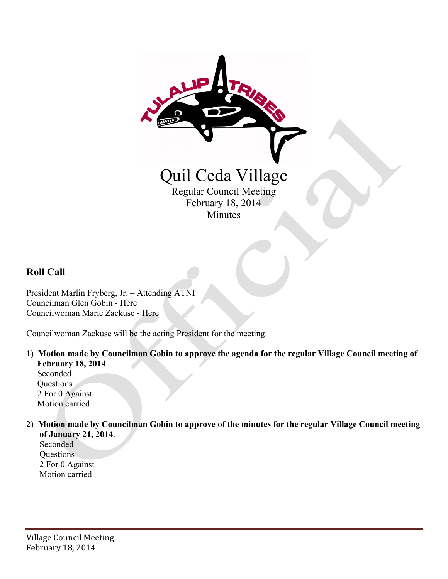

### **Roll Call**

President Marlin Fryberg, Jr. – Attending ATNI Councilman Glen Gobin - Here Councilwoman Marie Zackuse - Here

Councilwoman Zackuse will be the acting President for the meeting.

**1) Motion made by Councilman Gobin to approve the agenda for the regular Village Council meeting of February 18, 2014**.

 Seconded Questions 2 For 0 Against Motion carried

**2) Motion made by Councilman Gobin to approve of the minutes for the regular Village Council meeting of January 21, 2014**.

 Seconded **Questions**  2 For 0 Against Motion carried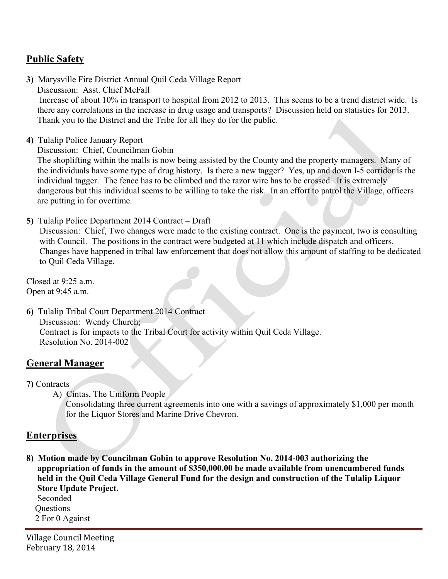## **Public Safety**

- **3)** Marysville Fire District Annual Quil Ceda Village Report Discussion: Asst. Chief McFall Increase of about 10% in transport to hospital from 2012 to 2013. This seems to be a trend district wide. Is there any correlations in the increase in drug usage and transports? Discussion held on statistics for 2013. Thank you to the District and the Tribe for all they do for the public.
- **4)** Tulalip Police January Report

Discussion: Chief, Councilman Gobin

 The shoplifting within the malls is now being assisted by the County and the property managers. Many of the individuals have some type of drug history. Is there a new tagger? Yes, up and down I-5 corridor is the individual tagger. The fence has to be climbed and the razor wire has to be crossed. It is extremely dangerous but this individual seems to be willing to take the risk. In an effort to patrol the Village, officers are putting in for overtime.

**5)** Tulalip Police Department 2014 Contract – Draft

 Discussion: Chief, Two changes were made to the existing contract. One is the payment, two is consulting with Council. The positions in the contract were budgeted at 11 which include dispatch and officers. Changes have happened in tribal law enforcement that does not allow this amount of staffing to be dedicated to Quil Ceda Village.

Closed at 9:25 a.m. Open at 9:45 a.m.

**6)** Tulalip Tribal Court Department 2014 Contract Discussion: Wendy Church; Contract is for impacts to the Tribal Court for activity within Quil Ceda Village. Resolution No. 2014-002

#### **General Manager**

**7)** Contracts

A) Cintas, The Uniform People

 Consolidating three current agreements into one with a savings of approximately \$1,000 per month for the Liquor Stores and Marine Drive Chevron.

#### **Enterprises**

**8) Motion made by Councilman Gobin to approve Resolution No. 2014-003 authorizing the appropriation of funds in the amount of \$350,000.00 be made available from unencumbered funds held in the Quil Ceda Village General Fund for the design and construction of the Tulalip Liquor Store Update Project.** 

 Seconded Questions 2 For 0 Against

Village Council Meeting February 18, 2014